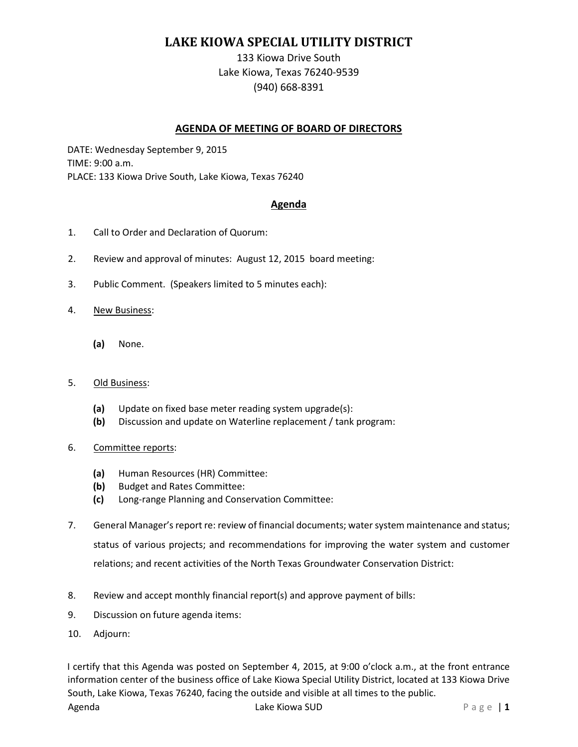# **LAKE KIOWA SPECIAL UTILITY DISTRICT**

133 Kiowa Drive South Lake Kiowa, Texas 76240-9539 (940) 668-8391

## **AGENDA OF MEETING OF BOARD OF DIRECTORS**

DATE: Wednesday September 9, 2015 TIME: 9:00 a.m. PLACE: 133 Kiowa Drive South, Lake Kiowa, Texas 76240

### **Agenda**

- 1. Call to Order and Declaration of Quorum:
- 2. Review and approval of minutes: August 12, 2015 board meeting:
- 3. Public Comment. (Speakers limited to 5 minutes each):
- 4. New Business:
	- **(a)** None.

#### 5. Old Business:

- **(a)** Update on fixed base meter reading system upgrade(s):
- **(b)** Discussion and update on Waterline replacement / tank program:
- 6. Committee reports:
	- **(a)** Human Resources (HR) Committee:
	- **(b)** Budget and Rates Committee:
	- **(c)** Long-range Planning and Conservation Committee:
- 7. General Manager's report re: review of financial documents; water system maintenance and status; status of various projects; and recommendations for improving the water system and customer relations; and recent activities of the North Texas Groundwater Conservation District:
- 8. Review and accept monthly financial report(s) and approve payment of bills:
- 9. Discussion on future agenda items:
- 10. Adjourn:

I certify that this Agenda was posted on September 4, 2015, at 9:00 o'clock a.m., at the front entrance information center of the business office of Lake Kiowa Special Utility District, located at 133 Kiowa Drive South, Lake Kiowa, Texas 76240, facing the outside and visible at all times to the public.